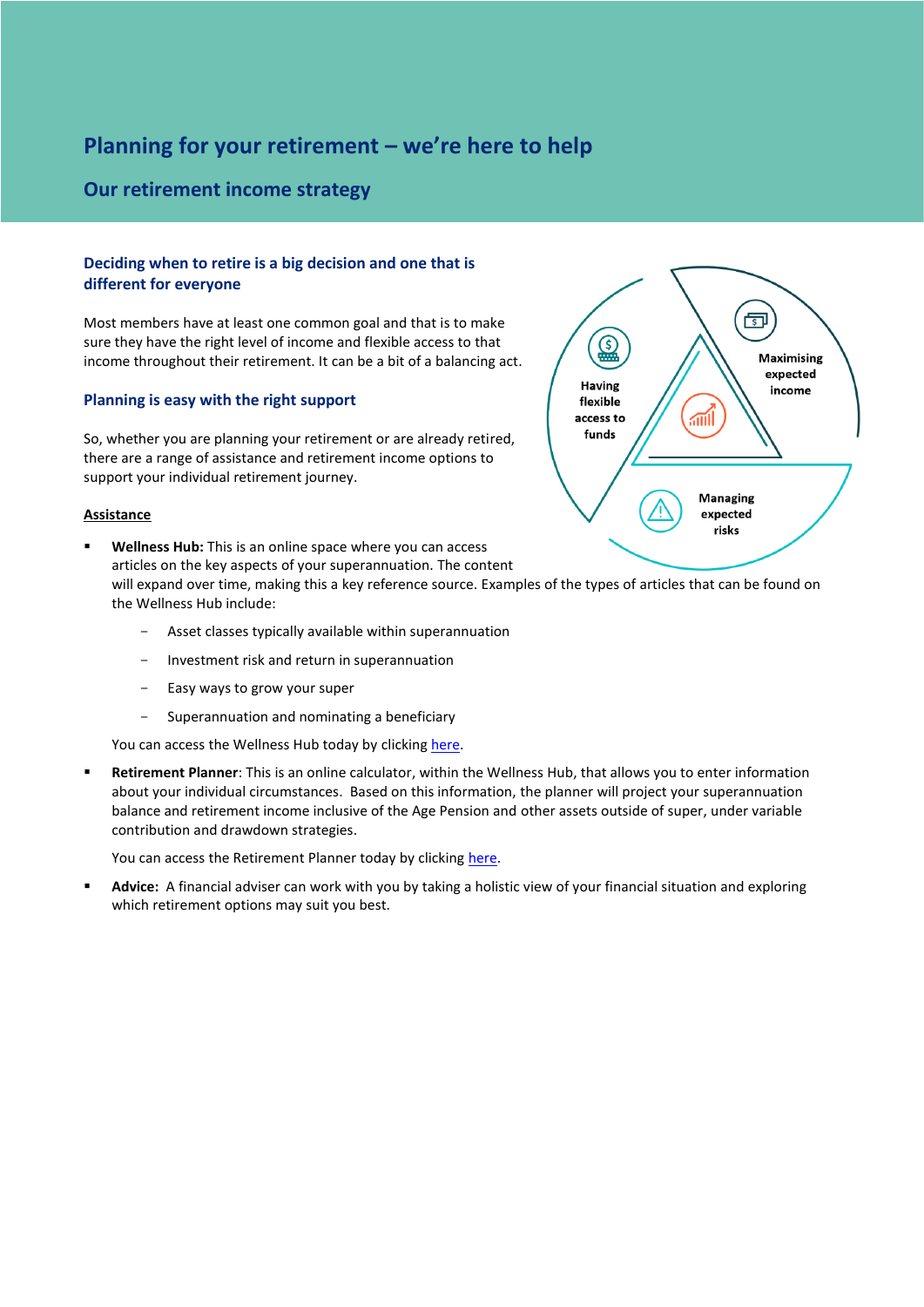# **Planning for your retirement – we're here to help**

# **Our retirement income strategy**

## **Deciding when to retire is a big decision and one that is different for everyone**

Most members have at least one common goal and that is to make sure they have the right level of income and flexible access to that income throughout their retirement. It can be a bit of a balancing act.

### **Planning is easy with the right support**

So, whether you are planning your retirement or are already retired, there are a range of assistance and retirement income options to support your individual retirement journey.

### **Assistance**

- **Wellness Hub:** This is an online space where you can access articles on the key aspects of your superannuation. The content will expand over time, making this a key reference source. Examples of the types of articles that can be found on the Wellness Hub include:
	- Asset classes typically available within superannuation
	- Investment risk and return in superannuation
	- Easy ways to grow your super
	- Superannuation and nominating a beneficiary

You can access the Wellness Hub today by clickin[g here.](https://diversa.com.au/resources/)

Retirement Planner: This is an online calculator, within the Wellness Hub, that allows you to enter information about your individual circumstances. Based on this information, the planner will project your superannuation balance and retirement income inclusive of the Age Pension and other assets outside of super, under variable contribution and drawdown strategies.

You can access the Retirement Planner today by clicking [here.](https://diversa.com.au/tools-calculators/retirement-planner/)

Advice: A financial adviser can work with you by taking a holistic view of your financial situation and exploring which retirement options may suit you best.